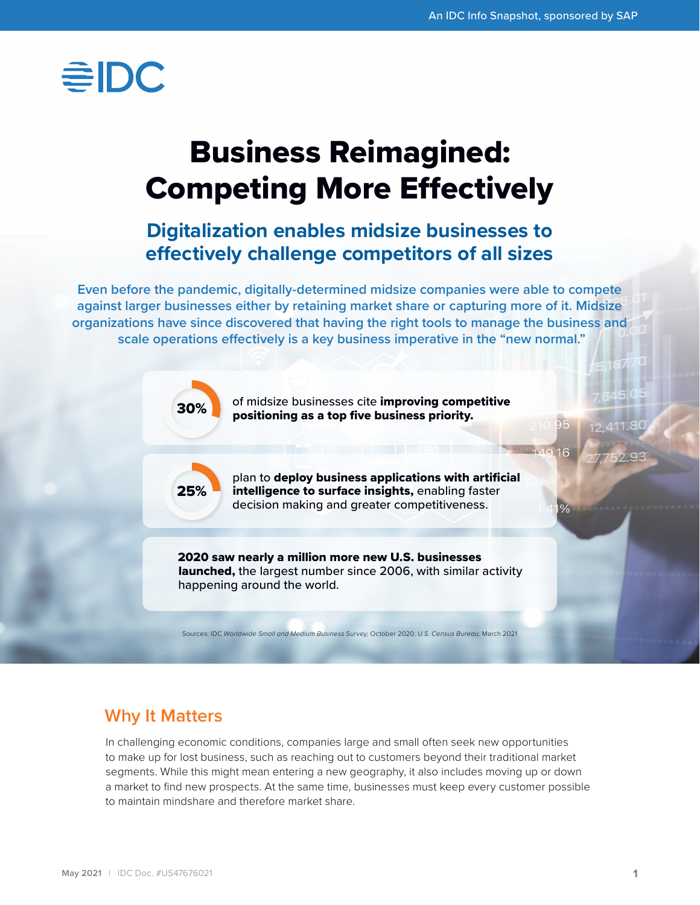# $\equiv$ IDC

## Business Reimagined: Competing More Effectively

## **Digitalization enables midsize businesses to effectively challenge competitors of all sizes**

**Even before the pandemic, digitally-determined midsize companies were able to compete against larger businesses either by retaining market share or capturing more of it. Midsize organizations have since discovered that having the right tools to manage the business and scale operations effectively is a key business imperative in the "new normal."**



### **Why It Matters**

In challenging economic conditions, companies large and small often seek new opportunities to make up for lost business, such as reaching out to customers beyond their traditional market segments. While this might mean entering a new geography, it also includes moving up or down a market to find new prospects. At the same time, businesses must keep every customer possible to maintain mindshare and therefore market share.